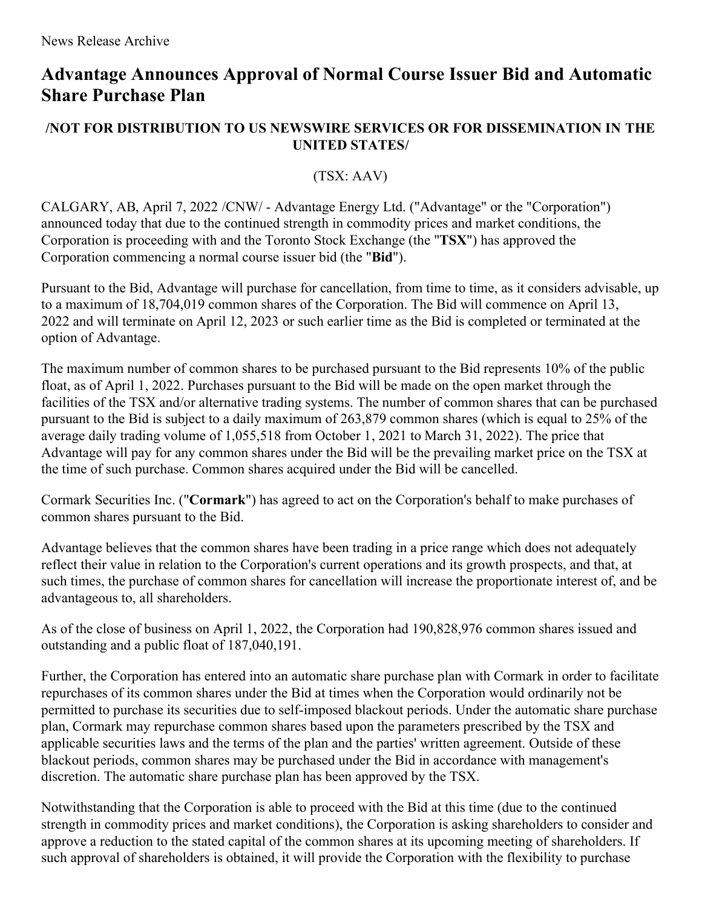# **Advantage Announces Approval of Normal Course Issuer Bid and Automatic Share Purchase Plan**

### **/NOT FOR DISTRIBUTION TO US NEWSWIRE SERVICES OR FOR DISSEMINATION IN THE UNITED STATES/**

#### (TSX: AAV)

CALGARY, AB, April 7, 2022 /CNW/ - Advantage Energy Ltd. ("Advantage" or the "Corporation") announced today that due to the continued strength in commodity prices and market conditions, the Corporation is proceeding with and the Toronto Stock Exchange (the "**TSX**") has approved the Corporation commencing a normal course issuer bid (the "**Bid**").

Pursuant to the Bid, Advantage will purchase for cancellation, from time to time, as it considers advisable, up to a maximum of 18,704,019 common shares of the Corporation. The Bid will commence on April 13, 2022 and will terminate on April 12, 2023 or such earlier time as the Bid is completed or terminated at the option of Advantage.

The maximum number of common shares to be purchased pursuant to the Bid represents 10% of the public float, as of April 1, 2022. Purchases pursuant to the Bid will be made on the open market through the facilities of the TSX and/or alternative trading systems. The number of common shares that can be purchased pursuant to the Bid is subject to a daily maximum of 263,879 common shares (which is equal to 25% of the average daily trading volume of 1,055,518 from October 1, 2021 to March 31, 2022). The price that Advantage will pay for any common shares under the Bid will be the prevailing market price on the TSX at the time of such purchase. Common shares acquired under the Bid will be cancelled.

Cormark Securities Inc. ("**Cormark**") has agreed to act on the Corporation's behalf to make purchases of common shares pursuant to the Bid.

Advantage believes that the common shares have been trading in a price range which does not adequately reflect their value in relation to the Corporation's current operations and its growth prospects, and that, at such times, the purchase of common shares for cancellation will increase the proportionate interest of, and be advantageous to, all shareholders.

As of the close of business on April 1, 2022, the Corporation had 190,828,976 common shares issued and outstanding and a public float of 187,040,191.

Further, the Corporation has entered into an automatic share purchase plan with Cormark in order to facilitate repurchases of its common shares under the Bid at times when the Corporation would ordinarily not be permitted to purchase its securities due to self-imposed blackout periods. Under the automatic share purchase plan, Cormark may repurchase common shares based upon the parameters prescribed by the TSX and applicable securities laws and the terms of the plan and the parties' written agreement. Outside of these blackout periods, common shares may be purchased under the Bid in accordance with management's discretion. The automatic share purchase plan has been approved by the TSX.

Notwithstanding that the Corporation is able to proceed with the Bid at this time (due to the continued strength in commodity prices and market conditions), the Corporation is asking shareholders to consider and approve a reduction to the stated capital of the common shares at its upcoming meeting of shareholders. If such approval of shareholders is obtained, it will provide the Corporation with the flexibility to purchase